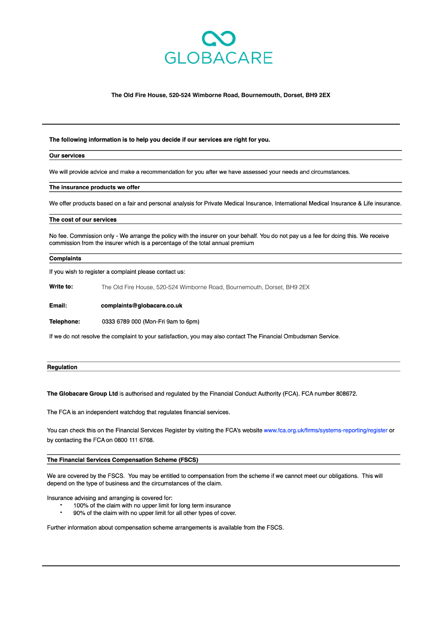

## The Old Fire House, 520-524 Wimborne Road, Bournemouth, Dorset, BH9 2EX

The following information is to help you decide if our services are right for you.

#### **Our services**

We will provide advice and make a recommendation for you after we have assessed your needs and circumstances.

#### The insurance products we offer

We offer products based on a fair and personal analysis for Private Medical Insurance, International Medical Insurance & Life insurance.

### The cost of our services

No fee. Commission only - We arrange the policy with the insurer on your behalf. You do not pay us a fee for doing this. We receive commission from the insurer which is a percentage of the total annual premium

#### **Complaints**

If you wish to register a complaint please contact us:

Write to: The Old Fire House, 520-524 Wimborne Road, Bournemouth, Dorset, BH9 2EX

Email: complaints@globacare.co.uk

Telephone: 0333 6789 000 (Mon-Fri 9am to 6pm)

If we do not resolve the complaint to your satisfaction, you may also contact The Financial Ombudsman Service.

| Rea |  |  |
|-----|--|--|
|     |  |  |

The Globacare Group Ltd is authorised and regulated by the Financial Conduct Authority (FCA). FCA number 808672.

The FCA is an independent watchdog that regulates financial services.

You can check this on the Financial Services Register by visiting the FCA's website www.fca.org.uk/firms/systems-reporting/register or by contacting the FCA on 0800 111 6768.

# The Financial Services Compensation Scheme (FSCS)

We are covered by the FSCS. You may be entitled to compensation from the scheme if we cannot meet our obligations. This will depend on the type of business and the circumstances of the claim.

Insurance advising and arranging is covered for:

- 100% of the claim with no upper limit for long term insurance
- 90% of the claim with no upper limit for all other types of cover.

Further information about compensation scheme arrangements is available from the FSCS.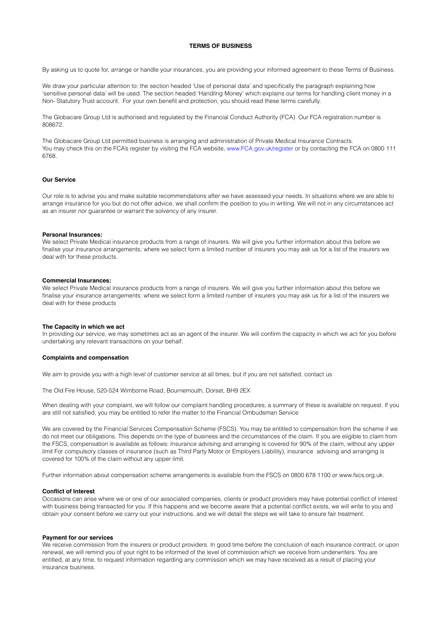# **TERMS OF BUSINESS**

By asking us to quote for, arrange or handle your insurances, you are providing your informed agreement to these Terms of Business.

We draw your particular attention to: the section headed 'Use of personal data' and specifically the paragraph explaining how 'sensitive personal data' will be used. The section headed 'Handling Money' which explains our terms for handling client money in a Non- Statutory Trust account. For your own benefit and protection, you should read these terms carefully.

The Globacare Group Ltd is authorised and regulated by the Financial Conduct Authority (FCA). Our FCA registration number is 808672.

The Globacare Group Ltd permitted business is arranging and administration of Private Medical Insurance Contracts. You may check this on the FCA's register by visiting the FCA website, www.FCA.gov.uk/register or by contacting the FCA on 0800 111 6768.

## **Our Service**

Our role is to advise you and make suitable recommendations after we have assessed your needs. In situations where we are able to arrange insurance for you but do not offer advice, we shall confirm the position to you in writing. We will not in any circumstances act as an insurer nor guarantee or warrant the solvency of any insurer.

## **Personal Insurances:**

We select Private Medical insurance products from a range of insurers. We will give you further information about this before we finalise your insurance arrangements; where we select form a limited number of insurers you may ask us for a list of the insurers we deal with for these products.

## **Commercial Insurances:**

We select Private Medical insurance products from a range of insurers. We will give you further information about this before we finalise your insurance arrangements; where we select form a limited number of insurers you may ask us for a list of the insurers we deal with for these products

#### **The Capacity in which we act**

In providing our service, we may sometimes act as an agent of the insurer. We will confirm the capacity in which we act for you before undertaking any relevant transactions on your behalf.

## **Complaints and compensation**

We aim to provide you with a high level of customer service at all times, but if you are not satisfied, contact us:

The Old Fire House, 520-524 Wimborne Road, Bournemouth, Dorset, BH9 2EX

When dealing with your complaint, we will follow our complaint handling procedures; a summary of these is available on request. If you are still not satisfied, you may be entitled to refer the matter to the Financial Ombudsman Service

We are covered by the Financial Services Compensation Scheme (FSCS). You may be entitled to compensation from the scheme if we do not meet our obligations. This depends on the type of business and the circumstances of the claim. If you are eligible to claim from the FSCS, compensation is available as follows: Insurance advising and arranging is covered for 90% of the claim, without any upper limit For compulsory classes of insurance (such as Third Party Motor or Employers Liability), insurance advising and arranging is covered for 100% of the claim without any upper limit.

Further information about compensation scheme arrangements is available from the FSCS on 0800 678 1100 or www.fscs.org.uk.

## **Conflict of Interest**

Occasions can arise where we or one of our associated companies, clients or product providers may have potential conflict of interest with business being transacted for you. If this happens and we become aware that a potential conflict exists, we will write to you and obtain your consent before we carry out your instructions, and we will detail the steps we will take to ensure fair treatment.

### **Payment for our services**

We receive commission from the insurers or product providers. In good time before the conclusion of each insurance contract, or upon renewal, we will remind you of your right to be informed of the level of commission which we receive from underwriters. You are entitled, at any time, to request information regarding any commission which we may have received as a result of placing your insurance business.